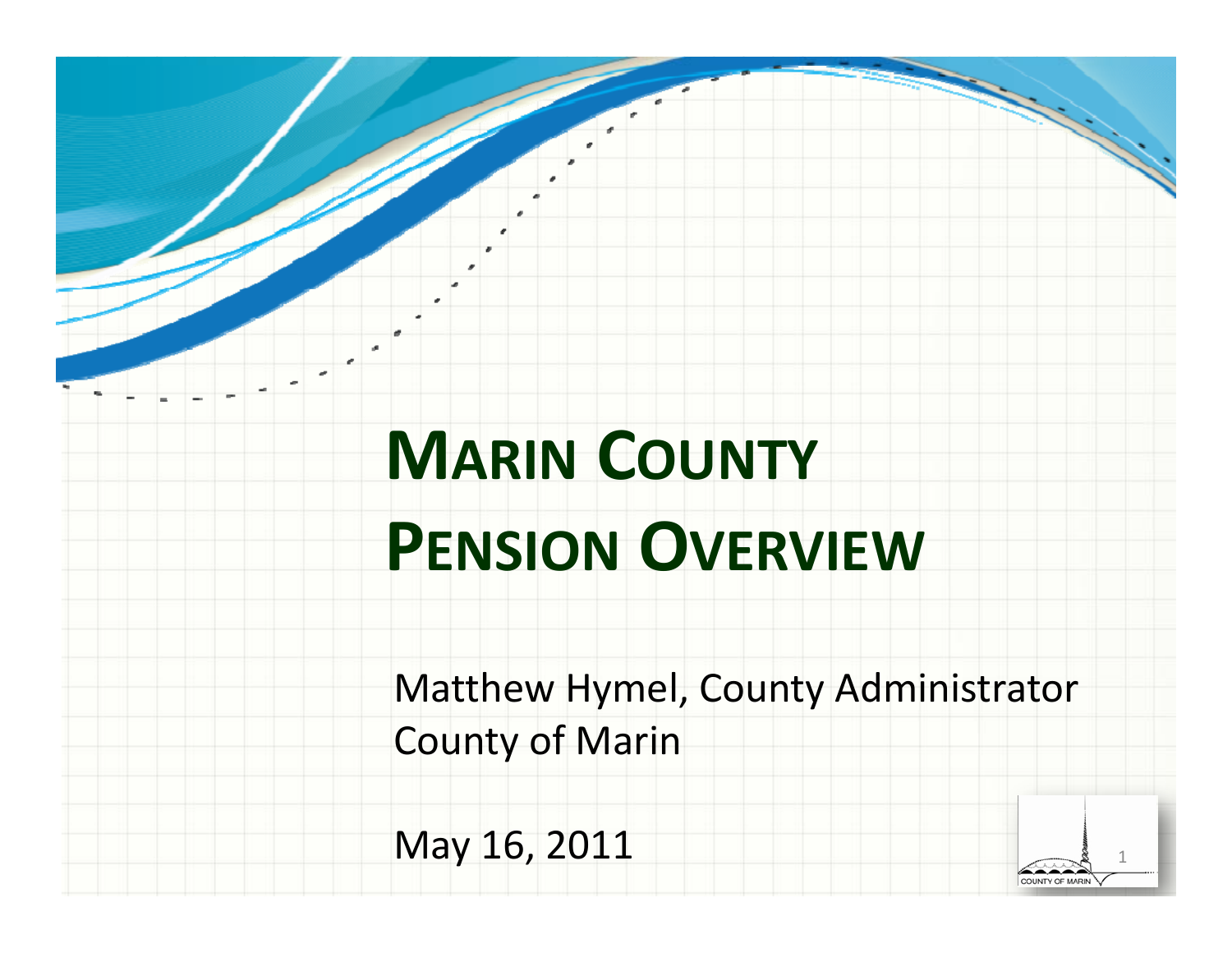# **MARIN COUNTY PENSION OVERVIEW**

Matthew Hymel, County Administrator County of Marin

May 16, 2011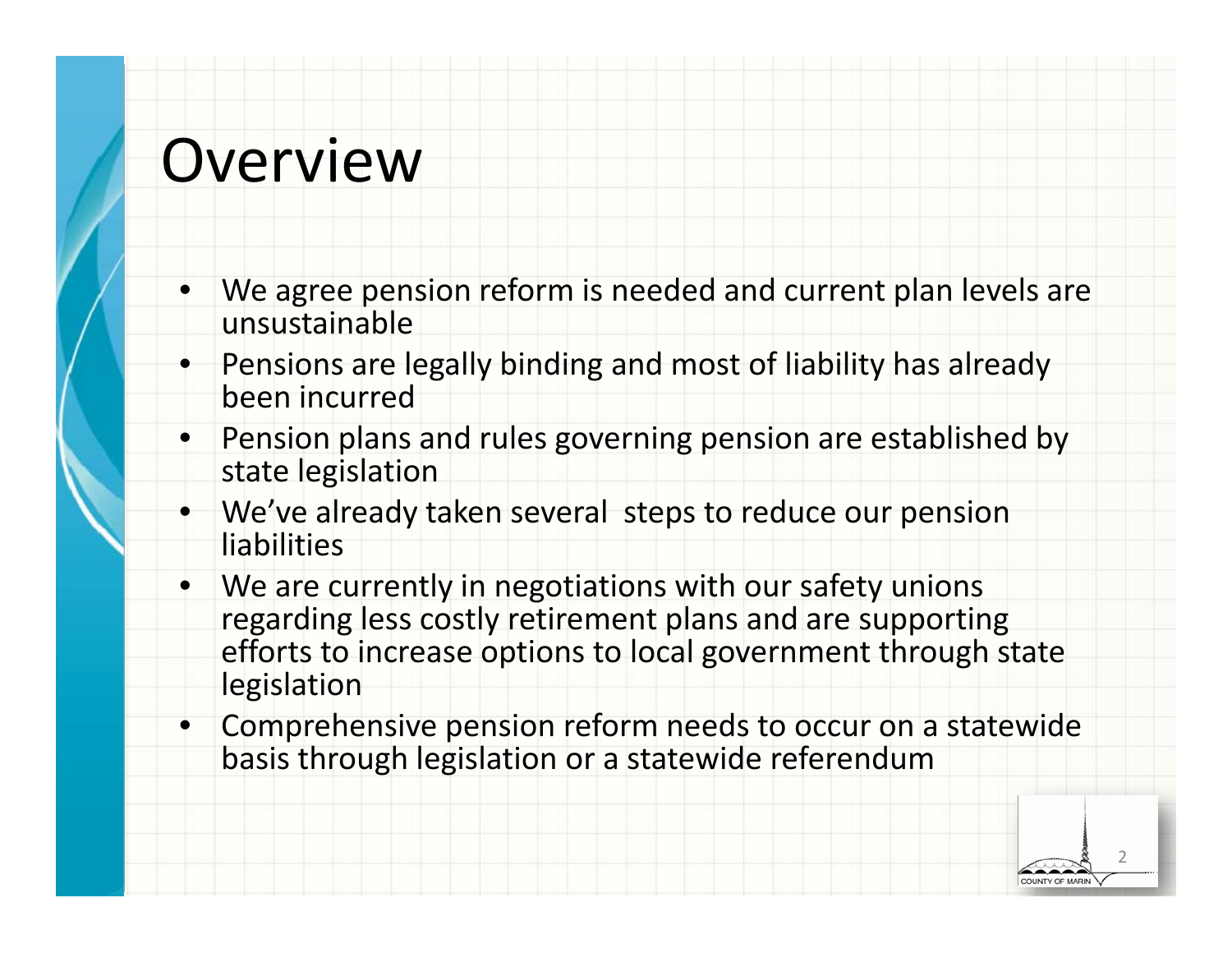### Overview

- • We agree pension reform is needed and current plan levels are unsustainable
- • Pensions are legally binding and most of liability has already been incurred
- •• Pension plans and rules governing pension are established by state legislation
- • We've already taken several steps to reduce our pension liabilities
- • We are currently in negotiations with our safety unions regarding less costly retirement plans and are supporting efforts to increase options to local government through state legislation
- $\bullet$  Comprehensive pension reform needs to occur on <sup>a</sup> statewide basis through legislation or <sup>a</sup> statewide referendum

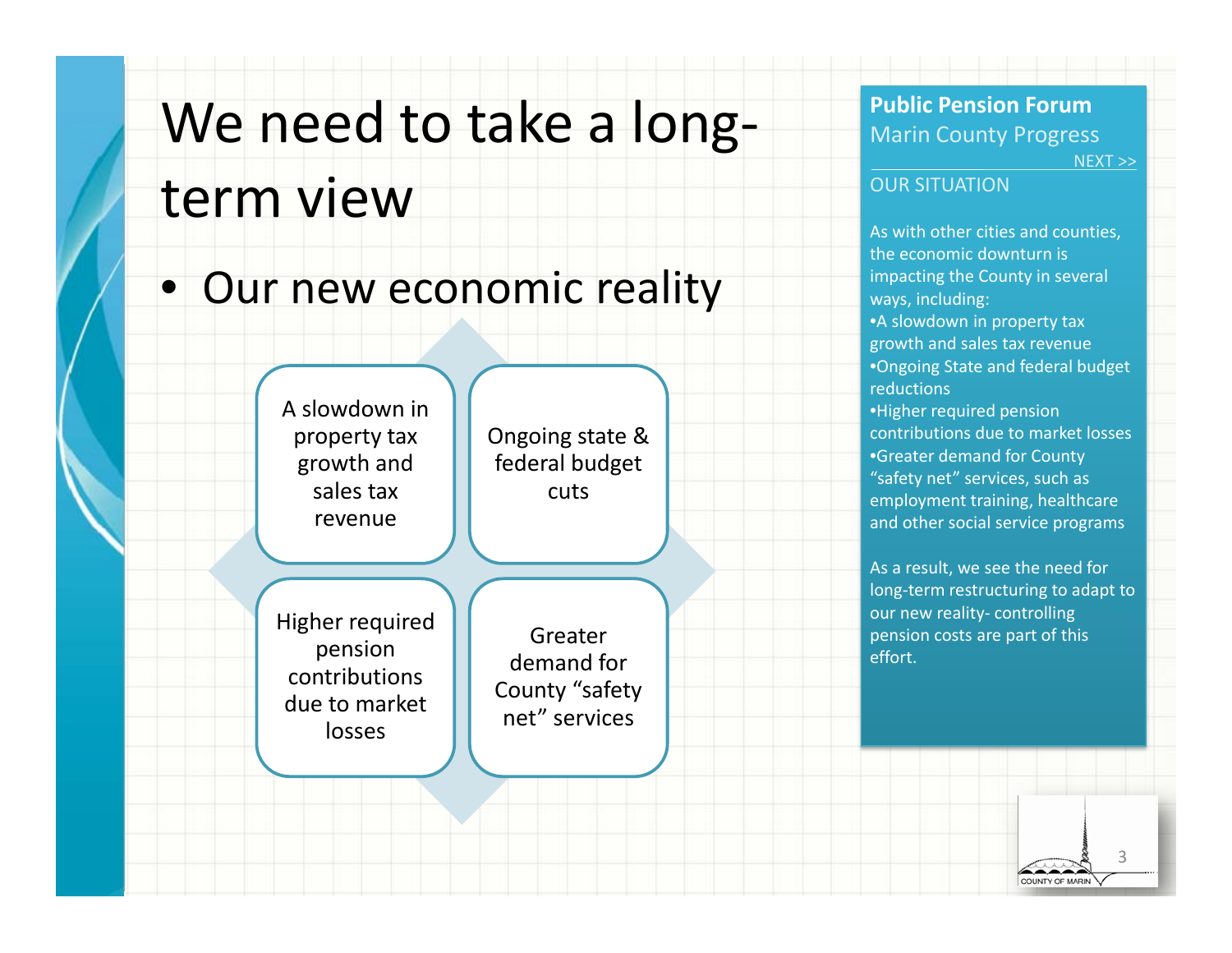# We need to take <sup>a</sup> long‐ term view

### • Our new economic reality



**Public Pension Forum**Marin County Progress NEXT >>

#### OUR SITUATION

As with other cities and counties, the economic downturn is impacting the County in several ways, including: •A slowdown in property tax growth and sales tax revenue •Ongoing State and federal budget reductions•Higher required pension contributions due to market losses •Greater demand for County "safety net" services, such as employment training, healthcare and other social service programs

As a result, we see the need for long‐term restructuring to adapt to our new reality‐ controlling pension costs are part of this effort.

> 3COUNTY OF MARIN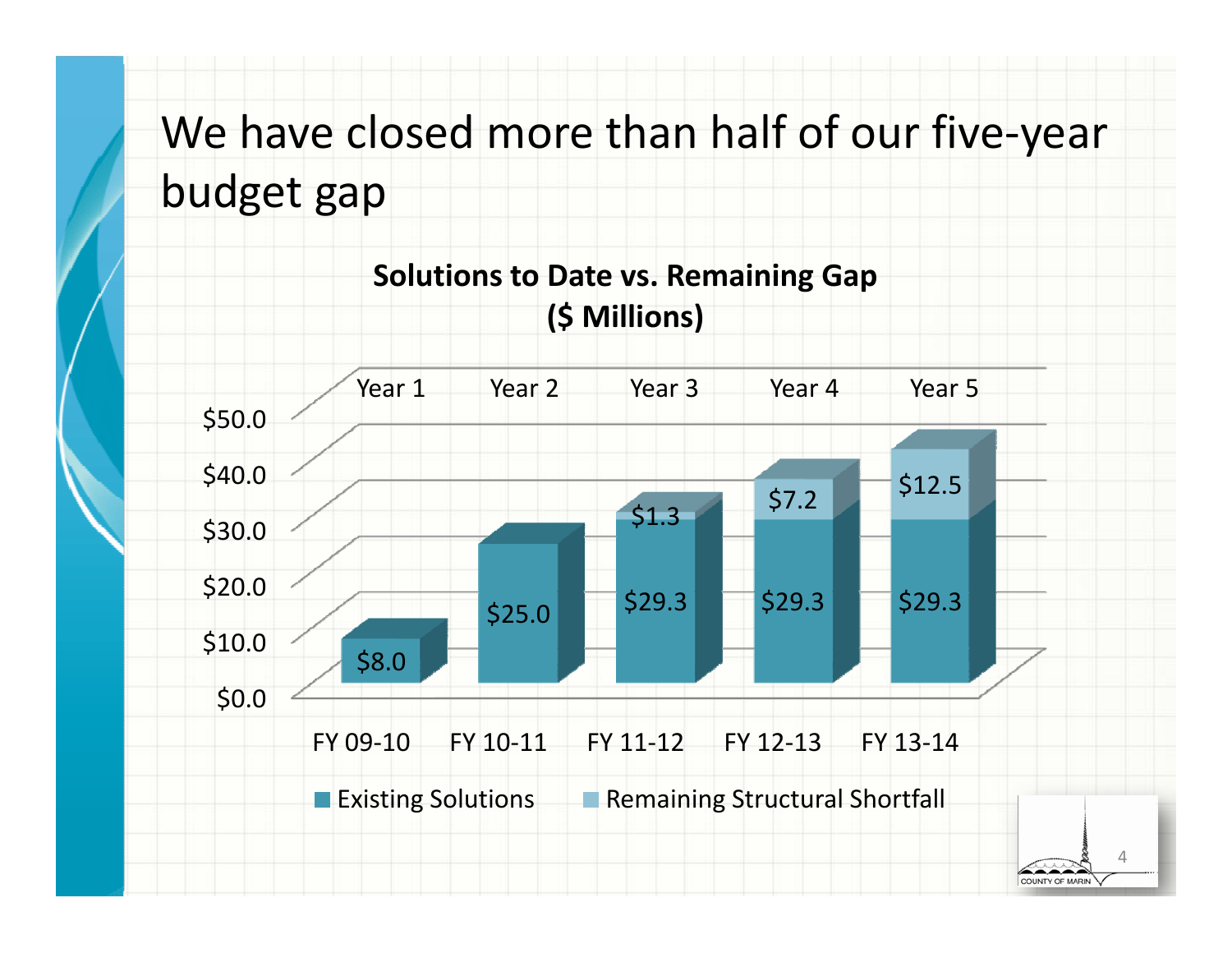We have closed more than half of our five‐year budget gap



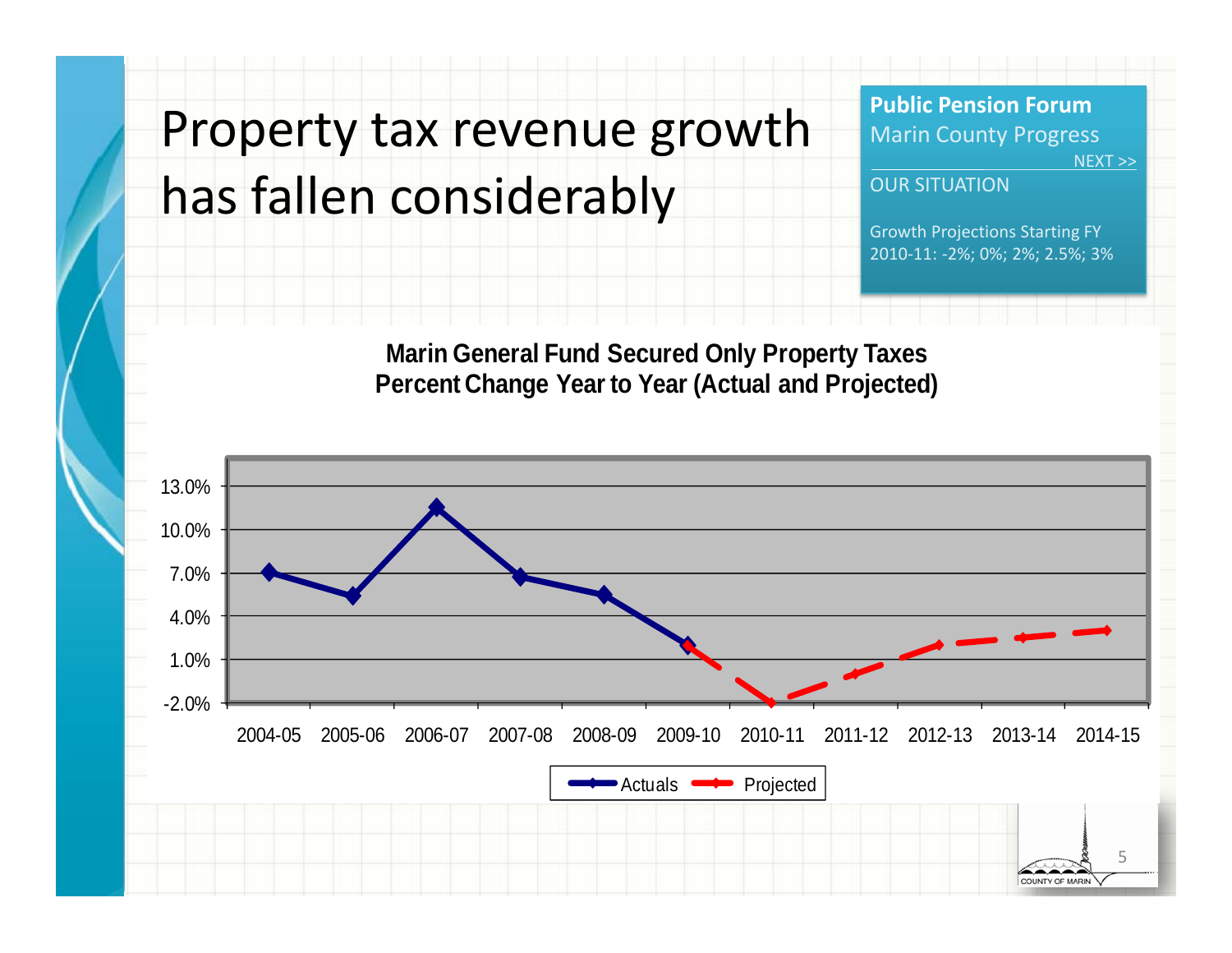## Property tax revenue growth has fallen considerably

**Public Pension Forum**Marin County Progress NEXT >>

#### OUR SITUATION

Growth Projections Starting FY 2010‐11: ‐2%; 0%; 2%; 2.5%; 3%

**Marin General Fund Secured Only Property Taxes Percent Change Year to Year (Actual and Projected)**

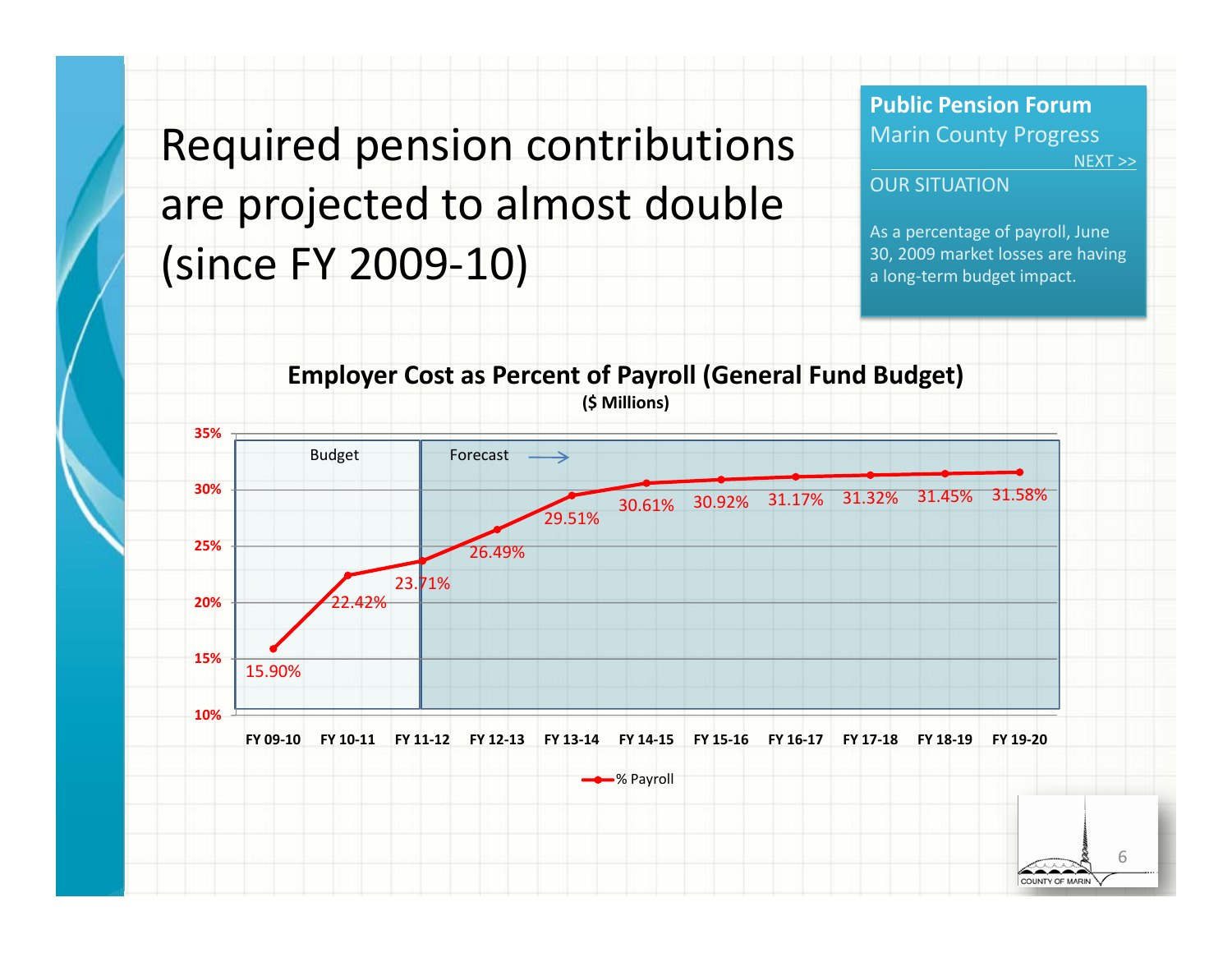### Required pension contributions are projected to almost double (since FY 2009‐10)

**Public Pension Forum**Marin County Progress NEXT >>

#### OUR SITUATION

As a percentage of payroll, June 30, 2009 market losses are having a long‐term budget impact.



**Employer Cost as Percent of Payroll (General Fund Budget)**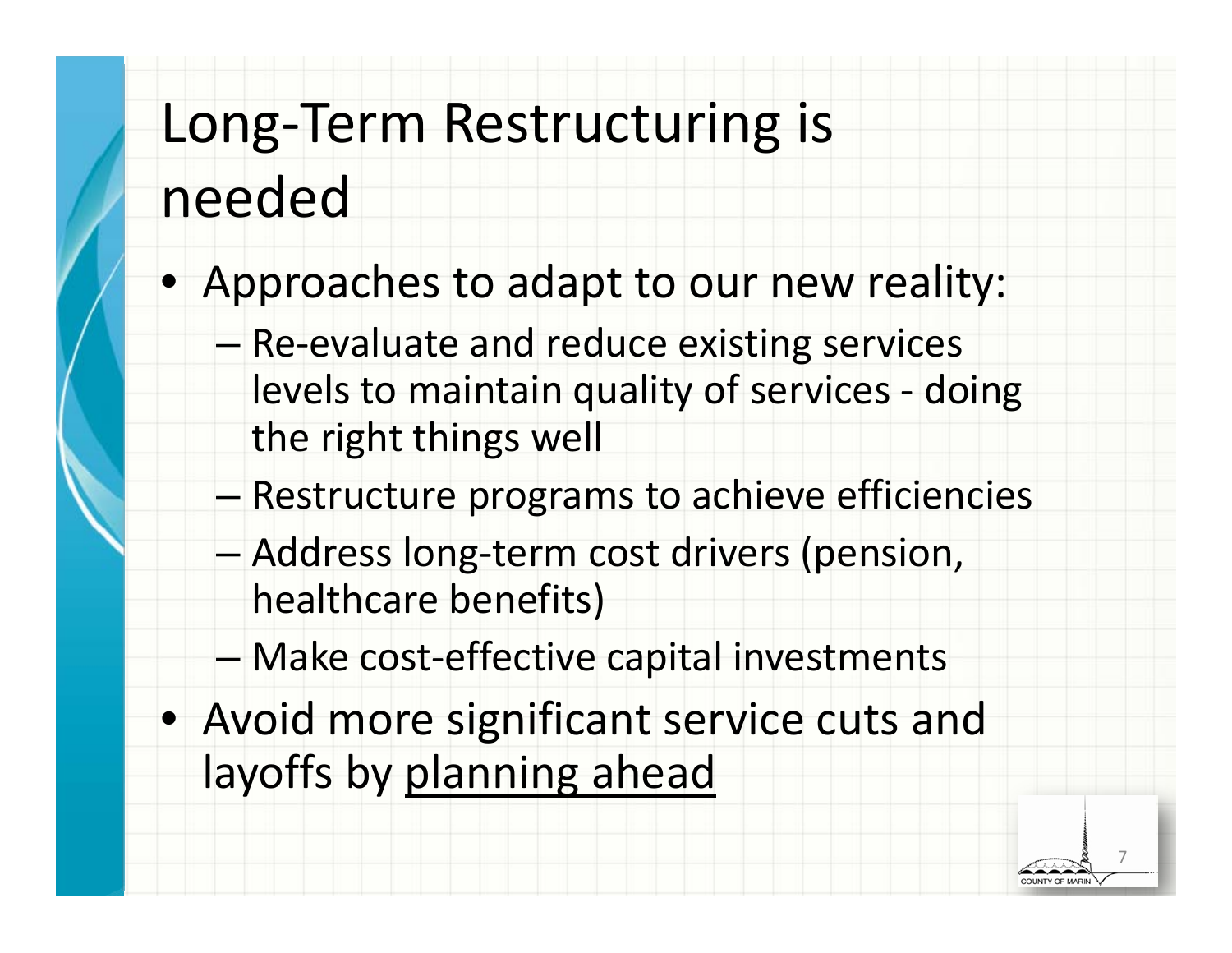# Long‐Term Restructuring is needed

- Approaches to adapt to our new reality:
	- –– Re-evaluate and reduce existing services levels to maintain quality of services ‐ doing the right things well
	- –Restructure programs to achieve efficiencies
	- – Address long‐term cost drivers (pension, healthcare benefits)
	- –Make cost‐effective capital investments
- Avoid more significant service cuts and layoffs by planning ahead

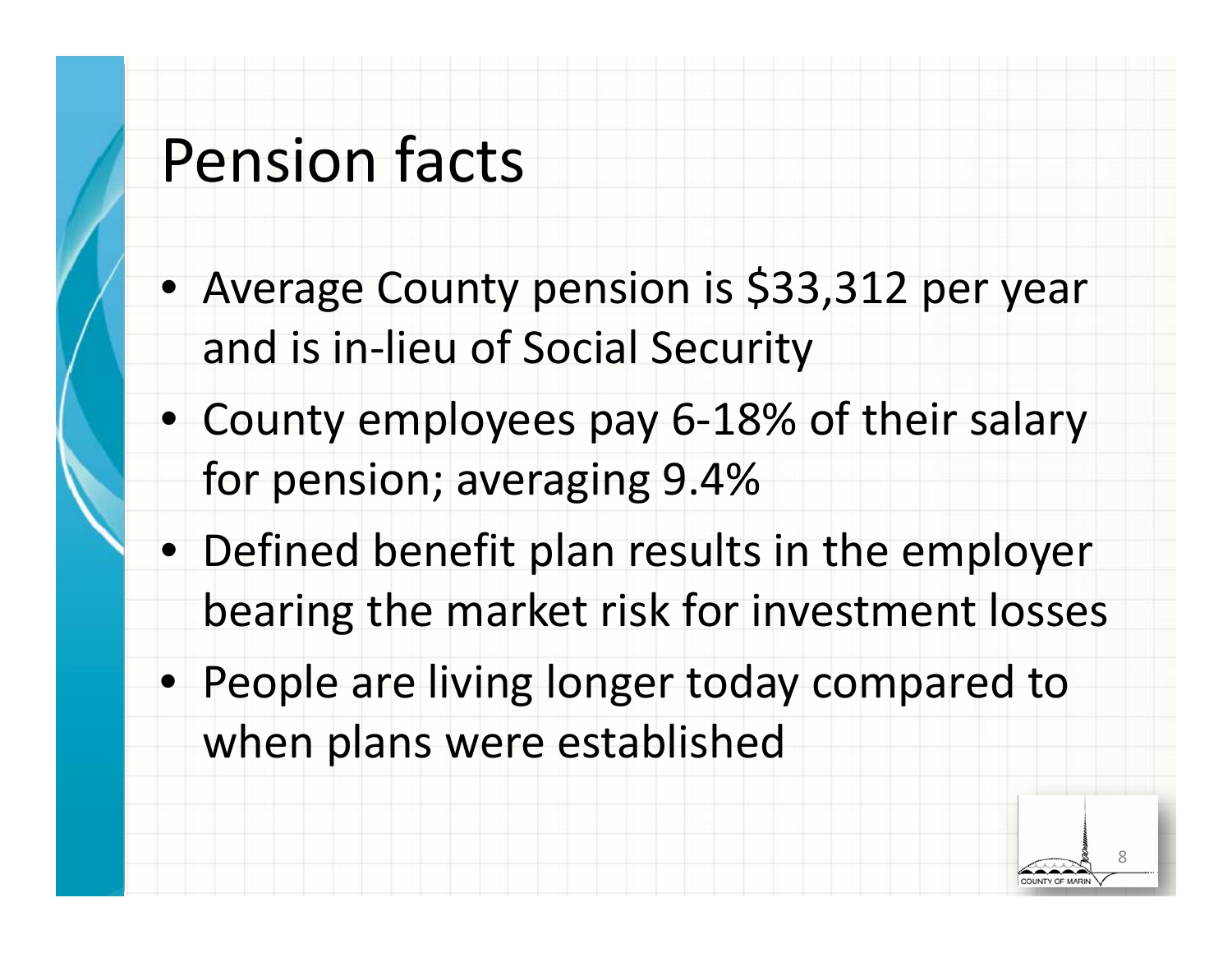## Pension facts

- Average County pension is \$33,312 per year and is in‐lieu of Social Security
- County employees pay 6‐18% of their salary for pension; averaging 9.4%
- Defined benefit plan results in the employer bearing the market risk for investment losses
- People are living longer today compared to when plans were established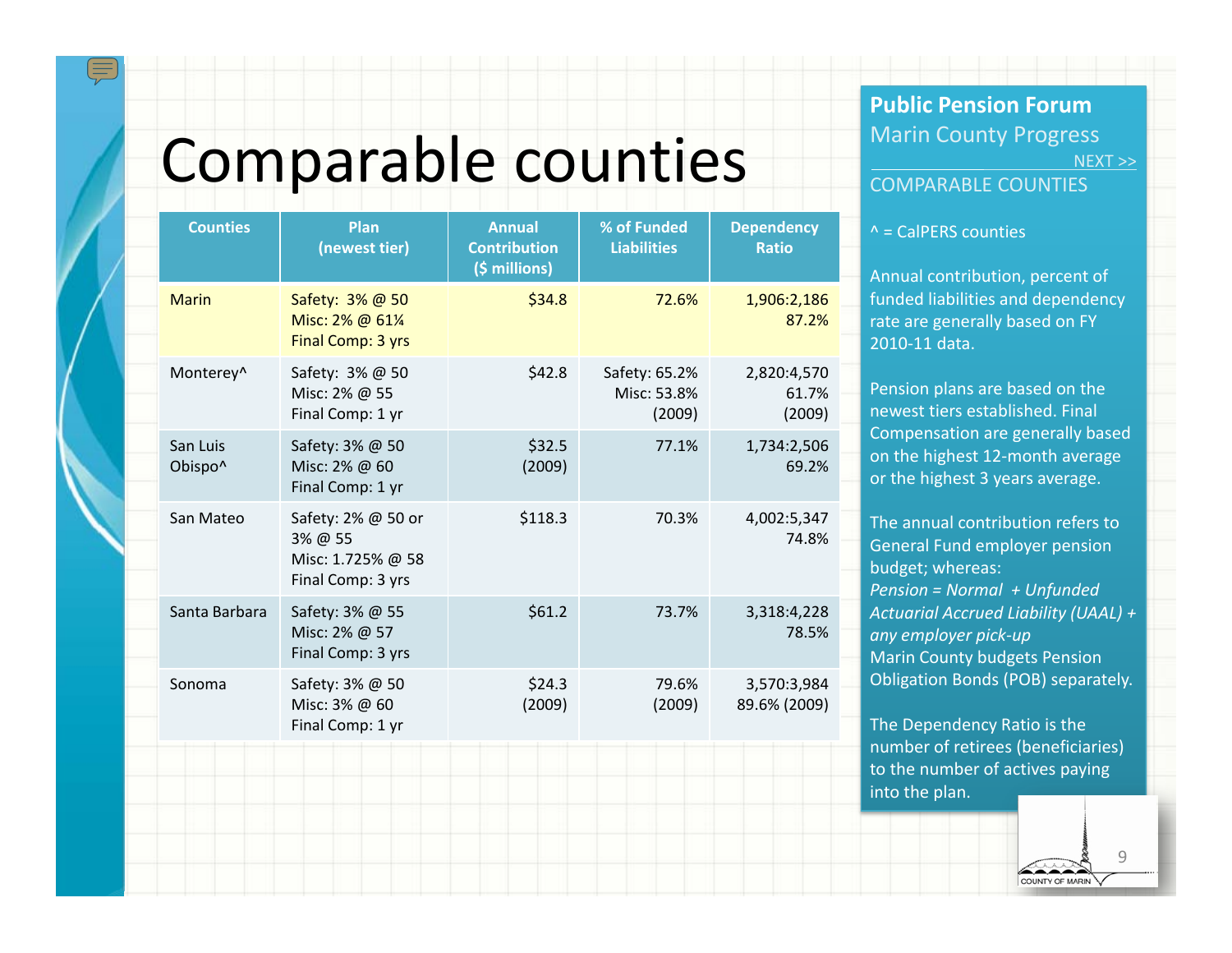## Comparable counties

| <b>Counties</b>     | Plan<br>(newest tier)                                                   | <b>Annual</b><br><b>Contribution</b><br>(\$ millions) | % of Funded<br><b>Liabilities</b>      | <b>Dependency</b><br><b>Ratio</b> |
|---------------------|-------------------------------------------------------------------------|-------------------------------------------------------|----------------------------------------|-----------------------------------|
| <b>Marin</b>        | Safety: 3% @ 50<br>Misc: 2% @ 61%<br>Final Comp: 3 yrs                  | \$34.8                                                | 72.6%                                  | 1,906:2,186<br>87.2%              |
| Monterey^           | Safety: 3% @ 50<br>Misc: 2% @ 55<br>Final Comp: 1 yr                    | \$42.8                                                | Safety: 65.2%<br>Misc: 53.8%<br>(2009) | 2,820:4,570<br>61.7%<br>(2009)    |
| San Luis<br>Obispo^ | Safety: 3% @ 50<br>Misc: 2% @ 60<br>Final Comp: 1 yr                    | \$32.5<br>(2009)                                      | 77.1%                                  | 1,734:2,506<br>69.2%              |
| San Mateo           | Safety: 2% @ 50 or<br>3% @ 55<br>Misc: 1.725% @ 58<br>Final Comp: 3 yrs | \$118.3                                               | 70.3%                                  | 4,002:5,347<br>74.8%              |
| Santa Barbara       | Safety: 3% @ 55<br>Misc: 2% @ 57<br>Final Comp: 3 yrs                   | \$61.2                                                | 73.7%                                  | 3,318:4,228<br>78.5%              |
| Sonoma              | Safety: 3% @ 50<br>Misc: 3% @ 60<br>Final Comp: 1 yr                    | \$24.3<br>(2009)                                      | 79.6%<br>(2009)                        | 3,570:3,984<br>89.6% (2009)       |
|                     |                                                                         |                                                       |                                        |                                   |

#### **Public Pension Forum**Marin County Progress NEXT >>

#### COMPARABLE COUNTIES

#### ^ <sup>=</sup> CalPERS counties

Annual contribution, percent of funded liabilities and dependency rate are generally based on FY 2010‐11 data.

Pension plans are based on the newest tiers established. Final Compensation are generally based on the highest 12‐month average or the highest 3 years average.

The annual contribution refers toGeneral Fund employer pension budget; whereas: *Pension <sup>=</sup> Normal <sup>+</sup> Unfunded Actuarial Accrued Liability (UAAL) <sup>+</sup> any employer pick‐up* Marin County budgets Pension Obligation Bonds (POB) separately.

The Dependency Ratio is the number of retirees (beneficiaries) to the number of actives paying into the plan.

> 9COUNTY OF MARIN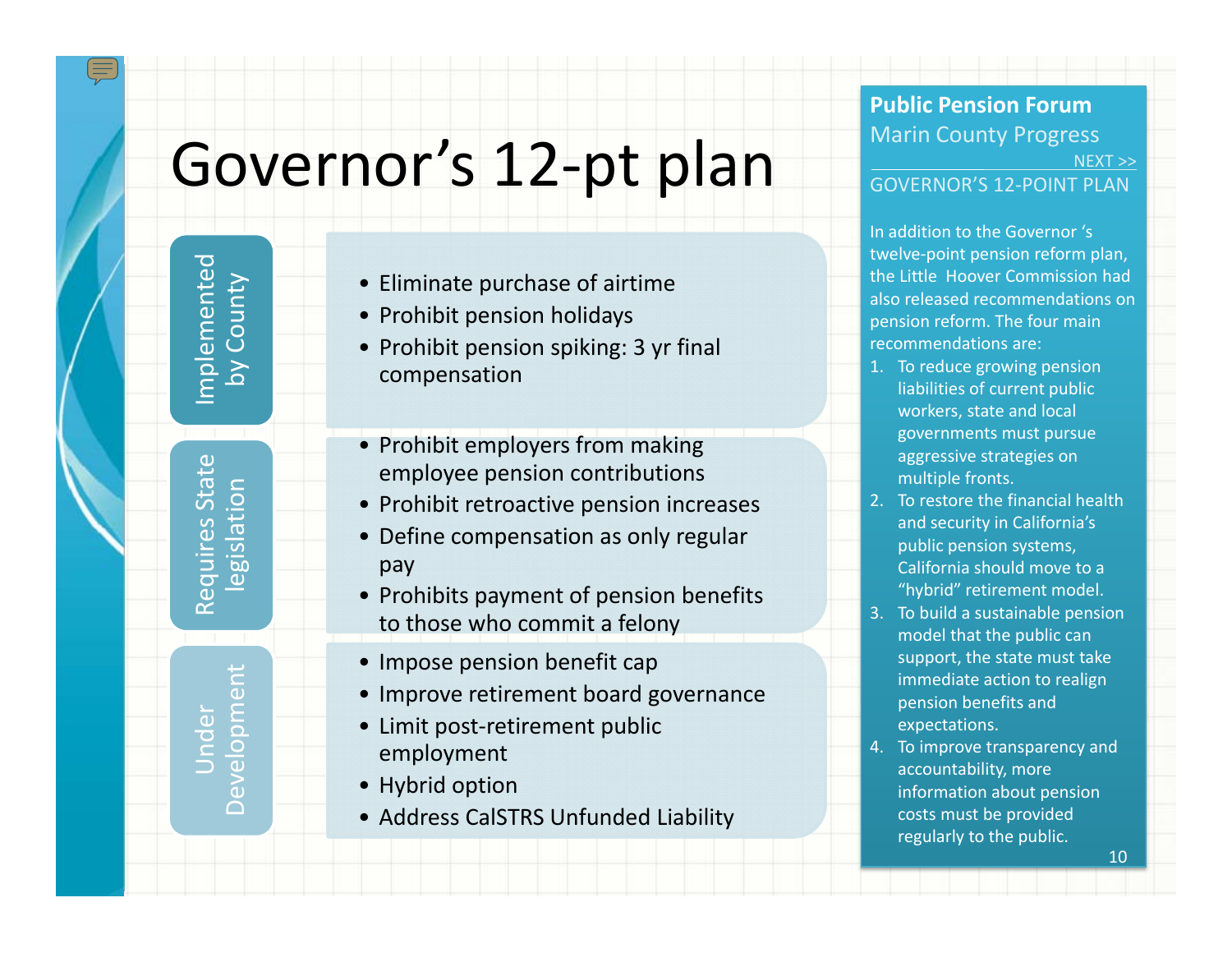# Governor's 12-pt plan

Implemented mplemented by County

State Requires State legislation Requires

Development  $\overline{\omega}$ evelopm Under

Ŏ

- Eliminate purchase of airtime
- Prohibit pension holidays
- Prohibit pension spiking: 3 yr final compensation
- Prohibit employers from making employee pension contributions
- Prohibit retroactive pension increases
- Define compensation as only regular pay
- Prohibits payment of pension benefits to those who commit a felony
- Impose pension benefit cap
- Improve retirement board governance
- Limit post‐retirement public employment
- Hybrid option
- Address CalSTRS Unfunded Liability

#### **Public Pension Forum**Marin County Progress NEXT >>

#### GOVERNOR'S 12‐POINT PLAN

In addition to the Governor 's twelve‐point pension reform plan, the Little Hoover Commission had also released recommendations on pension reform. The four main recommendations are:

- 1. To reduce growing pension liabilities of current public workers, state and local governments must pursue aggressive strategies on multiple fronts.
- 2. To restore the financial health and security in California's public pension systems, California should move to a "hybrid" retirement model.
- 3. To build <sup>a</sup> sustainable pension model that the public can support, the state must take immediate action to realign pension benefits and expectations.
- 4. To improve transparency and accountability, more information about pension costs must be provided regularly to the public.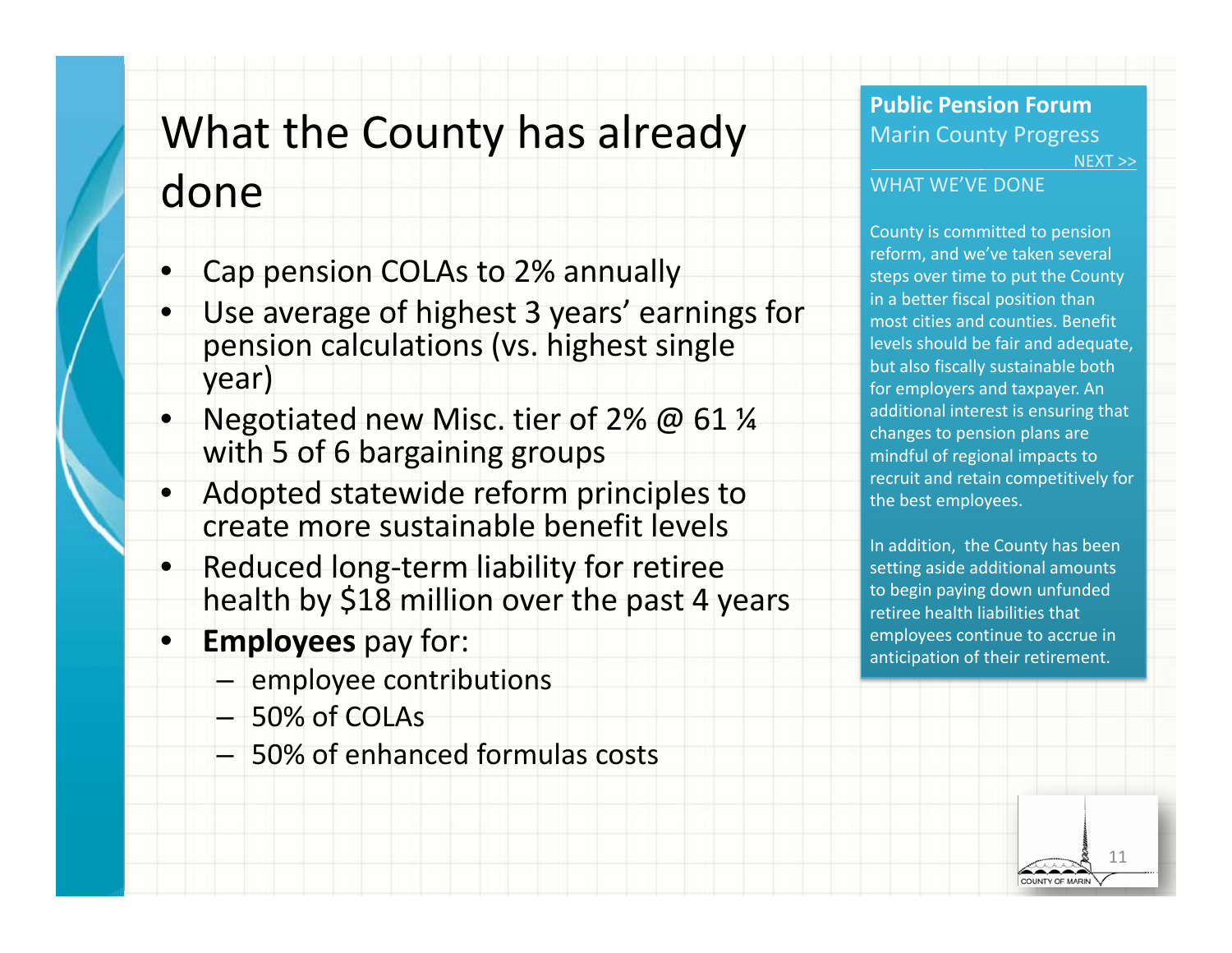### What the County has already

### done

- •Cap pension COLAs to 2% annually
- • Use average of highest 3 years' earnings for pension calculations (vs. highest single year)
- •Negotiated new Misc. tier of 2% @ 61 1⁄4 with 5 of 6 bargaining groups
- • Adopted statewide reform principles to create more sustainable benefit levels
- •● Reduced long-term liability for retiree health by \$18 million over the past <sup>4</sup> years
- • **Employees** pay for:
	- employee contributions
	- 50% of COLAs
	- 50% of enhanced formulas costs

#### **Public Pension Forum**Marin County Progress NEXT >>

#### WHAT WE'VE DONE

County is committed to pension reform, and we've taken several steps over time to put the County in <sup>a</sup> better fiscal position than most cities and counties. Benefit levels should be fair and adequate, but also fiscally sustainable both for employers and taxpayer. An additional interest is ensuring that changes to pension plans are mindful of regional impacts to recruit and retain competitively for the best employees.

In addition, the County has been setting aside additional amounts to begin paying down unfunded retiree health liabilities that employees continue to accrue in anticipation of their retirement.

> 11COUNTY OF MARI